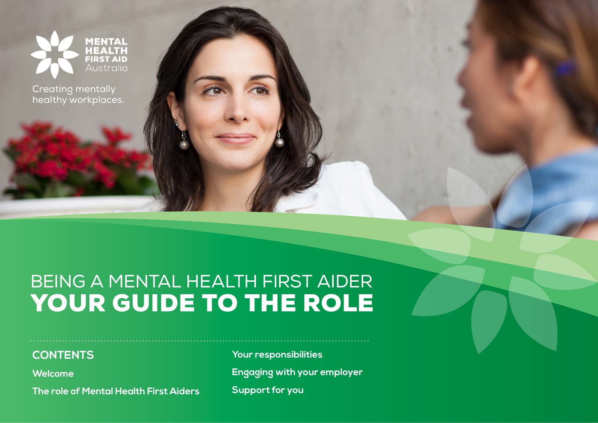

Creating mentally healthy workplaces.

# BEING A MENTAL HEALTH FIRST AIDER YOUR GUIDE TO THE ROLE

#### **CONTENTS**

**[Welcome](#page-1-0)**

**[The role of Mental Health First Aiders](#page-2-0)**

**[Your responsibilities](#page-3-0) [Engaging with your employer](#page-4-0) [Support for you](#page-5-0)**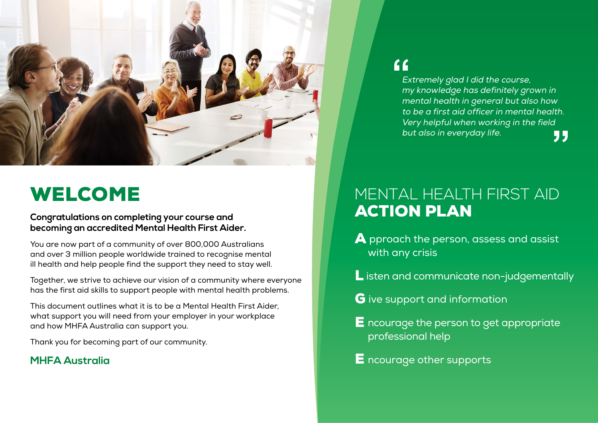<span id="page-1-0"></span>

## WELCOME

#### **Congratulations on completing your course and becoming an accredited Mental Health First Aider.**

You are now part of a community of over 800,000 Australians and over 3 million people worldwide trained to recognise mental ill health and help people find the support they need to stay well.

Together, we strive to achieve our vision of a community where everyone has the first aid skills to support people with mental health problems.

This document outlines what it is to be a Mental Health First Aider, what support you will need from your employer in your workplace and how MHFA Australia can support you.

Thank you for becoming part of our community.

#### **MHFA Australia**

### $66$

Extremely glad I did the course, my knowledge has definitely grown in mental health in general but also how to be a first aid officer in mental health. Very helpful when working in the field but also in everyday life.55

### MENTAL HEALTH FIRST AID ACTION PLAN

- A pproach the person, assess and assist with any crisis
- **L** isten and communicate non-judgementally
- G ive support and information
- E ncourage the person to get appropriate professional help
- E ncourage other supports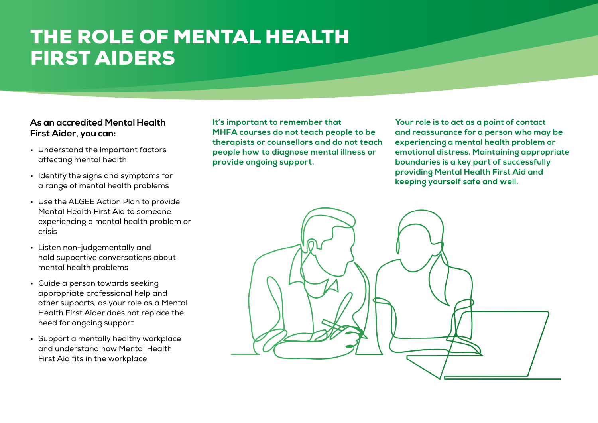## <span id="page-2-0"></span>THE ROLE OF MENTAL HEALTH FIRST AIDERS

#### **As an accredited Mental Health First Aider, you can:**

- Understand the important factors affecting mental health
- Identify the signs and symptoms for a range of mental health problems
- Use the ALGEE Action Plan to provide Mental Health First Aid to someone experiencing a mental health problem or crisis
- Listen non-judgementally and hold supportive conversations about mental health problems
- Guide a person towards seeking appropriate professional help and other supports, as your role as a Mental Health First Aider does not replace the need for ongoing support
- Support a mentally healthy workplace and understand how Mental Health First Aid fits in the workplace.

**It's important to remember that MHFA courses do not teach people to be therapists or counsellors and do not teach people how to diagnose mental illness or provide ongoing support.** 

**Your role is to act as a point of contact and reassurance for a person who may be experiencing a mental health problem or emotional distress. Maintaining appropriate boundaries is a key part of successfully providing Mental Health First Aid and keeping yourself safe and well.**

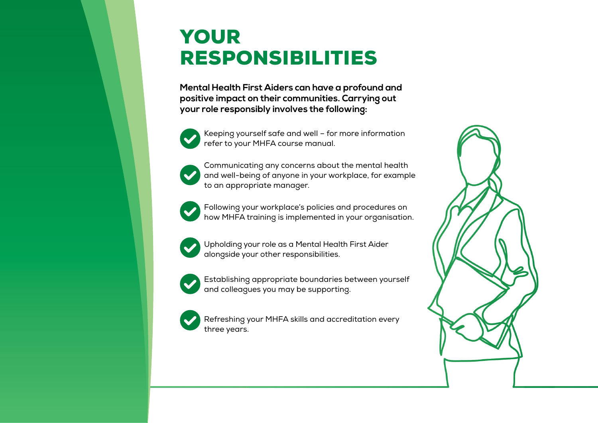## <span id="page-3-0"></span>YOUR RESPONSIBILITIES

**Mental Health First Aiders can have a profound and positive impact on their communities. Carrying out your role responsibly involves the following:**



Keeping yourself safe and well – for more information refer to your MHFA course manual.



Communicating any concerns about the mental health and well-being of anyone in your workplace, for example to an appropriate manager.



Following your workplace's policies and procedures on how MHFA training is implemented in your organisation.



Upholding your role as a Mental Health First Aider alongside your other responsibilities.



Establishing appropriate boundaries between yourself and colleagues you may be supporting.



Refreshing your MHFA skills and accreditation every three years.

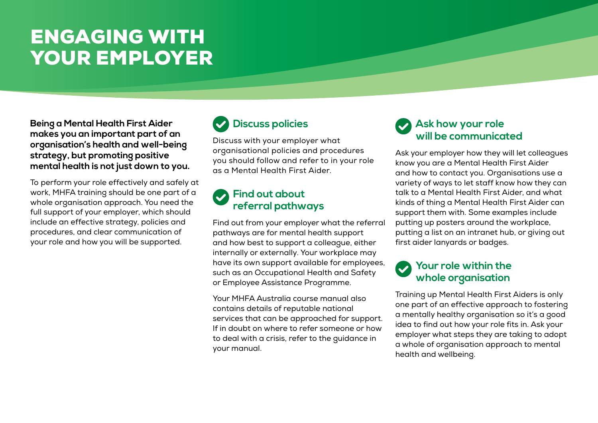# <span id="page-4-0"></span>ENGAGING WITH YOUR EMPLOYER

**Being a Mental Health First Aider makes you an important part of an organisation's health and well-being strategy, but promoting positive mental health is not just down to you.** 

To perform your role effectively and safely at work, MHFA training should be one part of a whole organisation approach. You need the full support of your employer, which should include an effective strategy, policies and procedures, and clear communication of your role and how you will be supported.

### **Discuss policies**

Discuss with your employer what organisational policies and procedures you should follow and refer to in your role as a Mental Health First Aider.

#### **Find out about referral pathways**

Find out from your employer what the referral pathways are for mental health support and how best to support a colleague, either internally or externally. Your workplace may have its own support available for employees, such as an Occupational Health and Safety or Employee Assistance Programme.

Your MHFA Australia course manual also contains details of reputable national services that can be approached for support. If in doubt on where to refer someone or how to deal with a crisis, refer to the guidance in your manual.

#### **Ask how your role will be communicated**

Ask your employer how they will let colleagues know you are a Mental Health First Aider and how to contact you. Organisations use a variety of ways to let staff know how they can talk to a Mental Health First Aider, and what kinds of thing a Mental Health First Aider can support them with. Some examples include putting up posters around the workplace, putting a list on an intranet hub, or giving out first aider lanyards or badges.

### **Your role within the whole organisation**

Training up Mental Health First Aiders is only one part of an effective approach to fostering a mentally healthy organisation so it's a good idea to find out how your role fits in. Ask your employer what steps they are taking to adopt a whole of organisation approach to mental health and wellbeing.